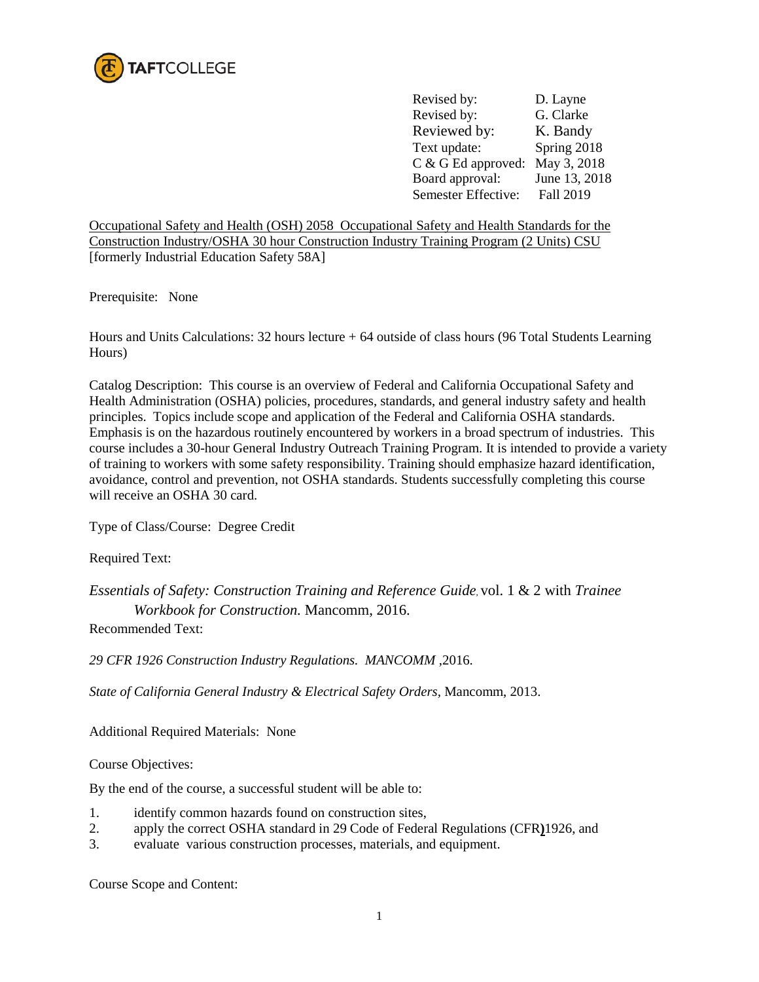

Revised by: D. Layne Revised by: G. Clarke Reviewed by: K. Bandy Text update: Spring 2018 C & G Ed approved: May 3, 2018 Board approval: June 13, 2018 Semester Effective: Fall 2019

Occupational Safety and Health (OSH) 2058 Occupational Safety and Health Standards for the Construction Industry/OSHA 30 hour Construction Industry Training Program (2 Units) CSU [formerly Industrial Education Safety 58A]

Prerequisite: None

Hours and Units Calculations: 32 hours lecture + 64 outside of class hours (96 Total Students Learning Hours)

Catalog Description: This course is an overview of Federal and California Occupational Safety and Health Administration (OSHA) policies, procedures, standards, and general industry safety and health principles. Topics include scope and application of the Federal and California OSHA standards. Emphasis is on the hazardous routinely encountered by workers in a broad spectrum of industries. This course includes a 30-hour General Industry Outreach Training Program. It is intended to provide a variety of training to workers with some safety responsibility. Training should emphasize hazard identification, avoidance, control and prevention, not OSHA standards. Students successfully completing this course will receive an OSHA 30 card.

Type of Class/Course: Degree Credit

Required Text:

*Essentials of Safety: Construction Training and Reference Guide*, vol. 1 & 2 with *Trainee Workbook for Construction.* Mancomm, 2016.

Recommended Text:

*29 CFR 1926 Construction Industry Regulations. MANCOMM* ,2016.

*State of California General Industry & Electrical Safety Orders,* Mancomm, 2013.

Additional Required Materials: None

Course Objectives:

By the end of the course, a successful student will be able to:

- 1. identify common hazards found on construction sites,
- 2. apply the correct OSHA standard in 29 Code of Federal Regulations (CFR) 1926, and evaluate various construction processes materials and equipment
- evaluate various construction processes, materials, and equipment.

Course Scope and Content: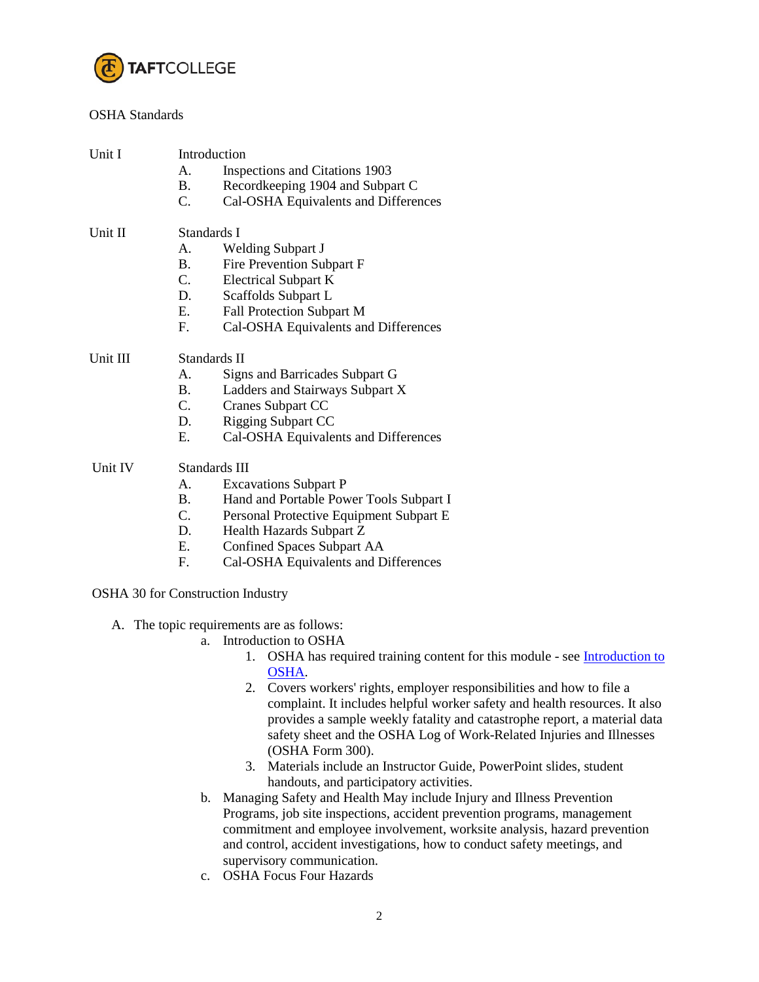

## OSHA Standards

| Unit I   |               | Introduction                             |  |  |
|----------|---------------|------------------------------------------|--|--|
|          | A.            | Inspections and Citations 1903           |  |  |
|          | <b>B.</b>     | Recordkeeping 1904 and Subpart C         |  |  |
|          | $C_{\cdot}$   | Cal-OSHA Equivalents and Differences     |  |  |
| Unit II  | Standards I   |                                          |  |  |
|          | A.            | <b>Welding Subpart J</b>                 |  |  |
|          | <b>B.</b>     | Fire Prevention Subpart F                |  |  |
|          | C.            | <b>Electrical Subpart K</b>              |  |  |
|          | D.            | Scaffolds Subpart L                      |  |  |
|          | E.            | Fall Protection Subpart M                |  |  |
|          | $F_{\cdot}$   | Cal-OSHA Equivalents and Differences     |  |  |
| Unit III | Standards II  |                                          |  |  |
|          | A.            | Signs and Barricades Subpart G           |  |  |
|          | <b>B.</b>     | Ladders and Stairways Subpart X          |  |  |
|          | $C_{\cdot}$   | <b>Cranes Subpart CC</b>                 |  |  |
|          | D.            | <b>Rigging Subpart CC</b>                |  |  |
|          | Ε.            | Cal-OSHA Equivalents and Differences     |  |  |
| Unit IV  | Standards III |                                          |  |  |
|          | A.            | <b>Excavations Subpart P</b>             |  |  |
|          | <b>B.</b>     | Hand and Portable Power Tools Subpart I  |  |  |
|          | $C_{\cdot}$   | Personal Protective Equipment Subpart E  |  |  |
|          | D.            | Health Hazards Subpart Z                 |  |  |
|          | E.            | <b>Confined Spaces Subpart AA</b>        |  |  |
|          | F.            | Cal-OSHA Equivalents and Differences     |  |  |
|          |               | <b>OSHA 30 for Construction Industry</b> |  |  |

- A. The topic requirements are as follows:
	- a. Introduction to OSHA
		- 1. OSHA has required training content for this module see **Introduction to** [OSHA.](https://www.osha.gov/dte/outreach/teachingaids.html)
		- 2. Covers workers' rights, employer responsibilities and how to file a complaint. It includes helpful worker safety and health resources. It also provides a sample weekly fatality and catastrophe report, a material data safety sheet and the OSHA Log of Work-Related Injuries and Illnesses (OSHA Form 300).
		- 3. Materials include an Instructor Guide, PowerPoint slides, student handouts, and participatory activities.
	- b. Managing Safety and Health May include Injury and Illness Prevention Programs, job site inspections, accident prevention programs, management commitment and employee involvement, worksite analysis, hazard prevention and control, accident investigations, how to conduct safety meetings, and supervisory communication.
	- c. OSHA Focus Four Hazards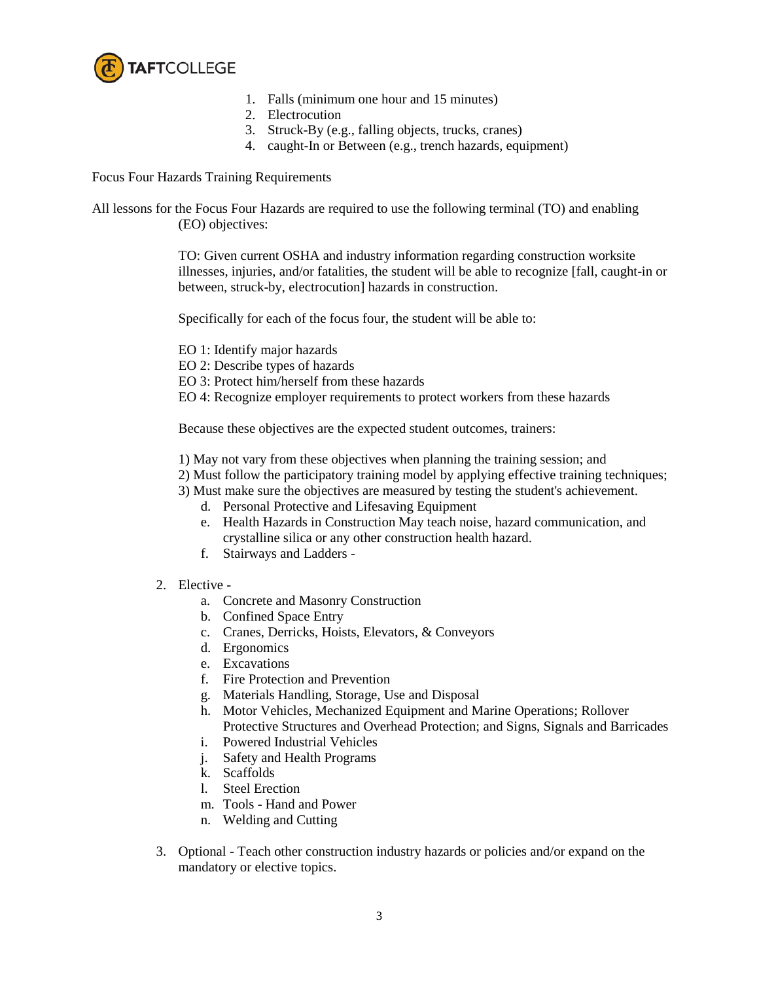

- 1. Falls (minimum one hour and 15 minutes)
- 2. Electrocution
- 3. Struck-By (e.g., falling objects, trucks, cranes)
- 4. caught-In or Between (e.g., trench hazards, equipment)

Focus Four Hazards Training Requirements

All lessons for the Focus Four Hazards are required to use the following terminal (TO) and enabling (EO) objectives:

> TO: Given current OSHA and industry information regarding construction worksite illnesses, injuries, and/or fatalities, the student will be able to recognize [fall, caught-in or between, struck-by, electrocution] hazards in construction.

Specifically for each of the focus four, the student will be able to:

- EO 1: Identify major hazards
- EO 2: Describe types of hazards
- EO 3: Protect him/herself from these hazards
- EO 4: Recognize employer requirements to protect workers from these hazards

Because these objectives are the expected student outcomes, trainers:

- 1) May not vary from these objectives when planning the training session; and
- 2) Must follow the participatory training model by applying effective training techniques;
- 3) Must make sure the objectives are measured by testing the student's achievement.
	- d. Personal Protective and Lifesaving Equipment
	- e. Health Hazards in Construction May teach noise, hazard communication, and crystalline silica or any other construction health hazard.
	- f. Stairways and Ladders -
- 2. Elective
	- a. Concrete and Masonry Construction
	- b. Confined Space Entry
	- c. Cranes, Derricks, Hoists, Elevators, & Conveyors
	- d. Ergonomics
	- e. Excavations
	- f. Fire Protection and Prevention
	- g. Materials Handling, Storage, Use and Disposal
	- h. Motor Vehicles, Mechanized Equipment and Marine Operations; Rollover Protective Structures and Overhead Protection; and Signs, Signals and Barricades
	- i. Powered Industrial Vehicles
	- j. Safety and Health Programs
	- k. Scaffolds
	- l. Steel Erection
	- m. Tools Hand and Power
	- n. Welding and Cutting
- 3. Optional Teach other construction industry hazards or policies and/or expand on the mandatory or elective topics.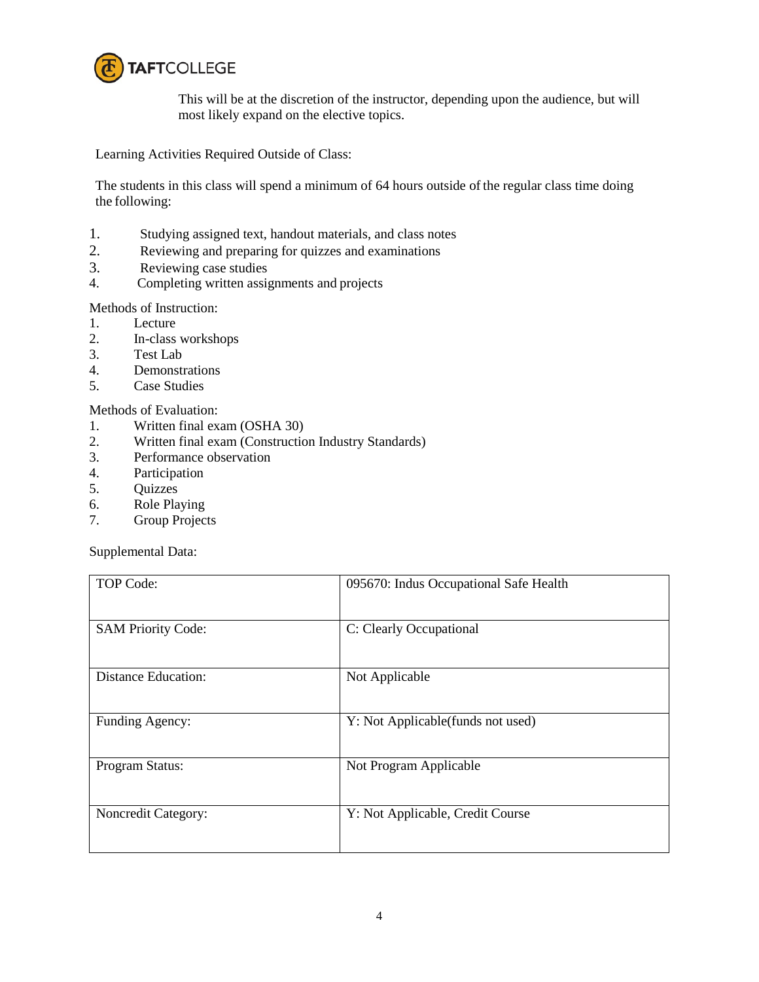

This will be at the discretion of the instructor, depending upon the audience, but will most likely expand on the elective topics.

Learning Activities Required Outside of Class:

The students in this class will spend a minimum of 64 hours outside of the regular class time doing the following:

- 1. Studying assigned text, handout materials, and class notes
- 2. Reviewing and preparing for quizzes and examinations<br>3. Reviewing case studies
- Reviewing case studies
- 4. Completing written assignments and projects

Methods of Instruction:

- 1. Lecture
- 2. In-class workshops<br>3. Test Lab
- Test Lab
- 4. Demonstrations
- 5. Case Studies

## Methods of Evaluation:

- 1. Written final exam (OSHA 30)
- 2. Written final exam (Construction Industry Standards)
- 3. Performance observation
- 4. Participation
- 5. Quizzes
- 6. Role Playing
- 7. Group Projects

Supplemental Data:

| TOP Code:                 | 095670: Indus Occupational Safe Health |
|---------------------------|----------------------------------------|
| <b>SAM Priority Code:</b> | C: Clearly Occupational                |
| Distance Education:       | Not Applicable                         |
| Funding Agency:           | Y: Not Applicable(funds not used)      |
| Program Status:           | Not Program Applicable                 |
| Noncredit Category:       | Y: Not Applicable, Credit Course       |